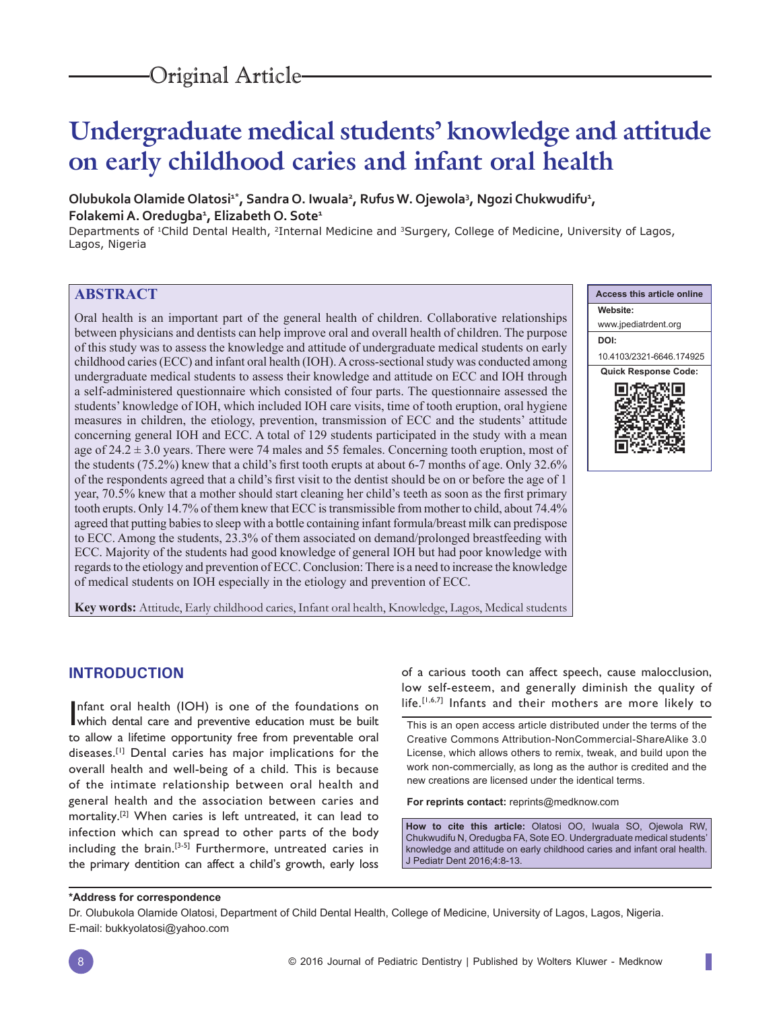# **Undergraduate medical students' knowledge and attitude on early childhood caries and infant oral health**

## Olubukola Olamide Olatosi<sup>1\*</sup>, Sandra O. Iwuala<sup>2</sup>, Rufus W. Ojewola<sup>3</sup>, Ngozi Chukwudifu<sup>1</sup>, **Folakemi A. Oredugba1 , Elizabeth O. Sote1**

Departments of 1Child Dental Health, 2Internal Medicine and 3Surgery, College of Medicine, University of Lagos, Lagos, Nigeria

## **ABSTRACT**

Oral health is an important part of the general health of children. Collaborative relationships between physicians and dentists can help improve oral and overall health of children. The purpose of this study was to assess the knowledge and attitude of undergraduate medical students on early childhood caries (ECC) and infant oral health (IOH). A cross-sectional study was conducted among undergraduate medical students to assess their knowledge and attitude on ECC and IOH through a self-administered questionnaire which consisted of four parts. The questionnaire assessed the students' knowledge of IOH, which included IOH care visits, time of tooth eruption, oral hygiene measures in children, the etiology, prevention, transmission of ECC and the students' attitude concerning general IOH and ECC. A total of 129 students participated in the study with a mean age of  $24.2 \pm 3.0$  years. There were 74 males and 55 females. Concerning tooth eruption, most of the students  $(75.2%)$  knew that a child's first tooth erupts at about 6-7 months of age. Only 32.6% of the respondents agreed that a child's first visit to the dentist should be on or before the age of 1 year, 70.5% knew that a mother should start cleaning her child's teeth as soon as the first primary tooth erupts. Only 14.7% of them knew that ECC is transmissible from mother to child, about 74.4% agreed that putting babies to sleep with a bottle containing infant formula/breast milk can predispose to ECC. Among the students, 23.3% of them associated on demand/prolonged breastfeeding with ECC. Majority of the students had good knowledge of general IOH but had poor knowledge with regards to the etiology and prevention of ECC. Conclusion: There is a need to increase the knowledge of medical students on IOH especially in the etiology and prevention of ECC.



**Key words:** Attitude, Early childhood caries, Infant oral health, Knowledge, Lagos, Medical students

## **INTRODUCTION**

Infant oral health (IOH) is one of the foundations on which dental care and preventive education must be built which dental care and preventive education must be built to allow a lifetime opportunity free from preventable oral diseases.[1] Dental caries has major implications for the overall health and well-being of a child. This is because of the intimate relationship between oral health and general health and the association between caries and mortality.[2] When caries is left untreated, it can lead to infection which can spread to other parts of the body including the brain.[3-5] Furthermore, untreated caries in the primary dentition can affect a child's growth, early loss

of a carious tooth can affect speech, cause malocclusion, low self-esteem, and generally diminish the quality of life.[1,6,7] Infants and their mothers are more likely to

This is an open access article distributed under the terms of the Creative Commons Attribution-NonCommercial-ShareAlike 3.0 License, which allows others to remix, tweak, and build upon the work non-commercially, as long as the author is credited and the new creations are licensed under the identical terms.

**For reprints contact:** reprints@medknow.com

**How to cite this article:** Olatosi OO, Iwuala SO, Ojewola RW, Chukwudifu N, Oredugba FA, Sote EO. Undergraduate medical students' knowledge and attitude on early childhood caries and infant oral health. J Pediatr Dent 2016;4:8-13.

#### **\*Address for correspondence**

Dr. Olubukola Olamide Olatosi, Department of Child Dental Health, College of Medicine, University of Lagos, Lagos, Nigeria. E-mail: bukkyolatosi@yahoo.com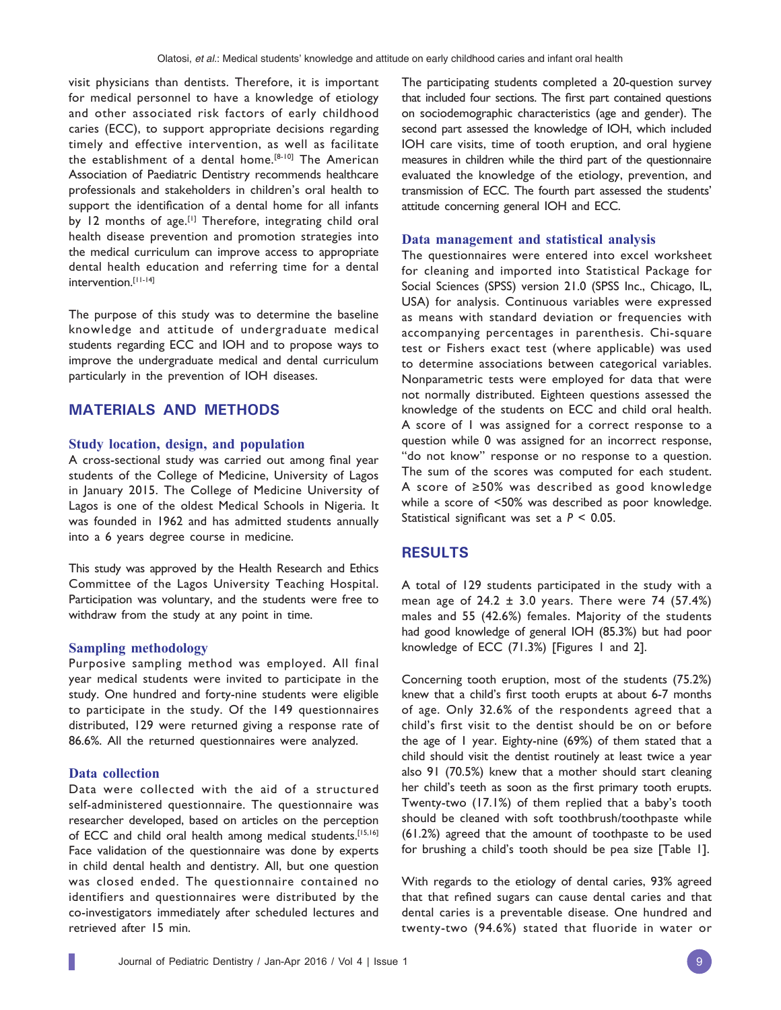visit physicians than dentists. Therefore, it is important for medical personnel to have a knowledge of etiology and other associated risk factors of early childhood caries (ECC), to support appropriate decisions regarding timely and effective intervention, as well as facilitate the establishment of a dental home.<sup>[8-10]</sup> The American Association of Paediatric Dentistry recommends healthcare professionals and stakeholders in children's oral health to support the identification of a dental home for all infants by 12 months of age.<sup>[1]</sup> Therefore, integrating child oral health disease prevention and promotion strategies into the medical curriculum can improve access to appropriate dental health education and referring time for a dental intervention.[11-14]

The purpose of this study was to determine the baseline knowledge and attitude of undergraduate medical students regarding ECC and IOH and to propose ways to improve the undergraduate medical and dental curriculum particularly in the prevention of IOH diseases.

## **MATERIALS AND METHODS**

#### **Study location, design, and population**

A cross-sectional study was carried out among final year students of the College of Medicine, University of Lagos in January 2015. The College of Medicine University of Lagos is one of the oldest Medical Schools in Nigeria. It was founded in 1962 and has admitted students annually into a 6 years degree course in medicine.

This study was approved by the Health Research and Ethics Committee of the Lagos University Teaching Hospital. Participation was voluntary, and the students were free to withdraw from the study at any point in time.

#### **Sampling methodology**

Purposive sampling method was employed. All final year medical students were invited to participate in the study. One hundred and forty-nine students were eligible to participate in the study. Of the 149 questionnaires distributed, 129 were returned giving a response rate of 86.6%. All the returned questionnaires were analyzed.

#### **Data collection**

Data were collected with the aid of a structured self-administered questionnaire. The questionnaire was researcher developed, based on articles on the perception of ECC and child oral health among medical students.[15,16] Face validation of the questionnaire was done by experts in child dental health and dentistry. All, but one question was closed ended. The questionnaire contained no identifiers and questionnaires were distributed by the co-investigators immediately after scheduled lectures and retrieved after 15 min.

The participating students completed a 20-question survey that included four sections. The first part contained questions on sociodemographic characteristics (age and gender). The second part assessed the knowledge of IOH, which included IOH care visits, time of tooth eruption, and oral hygiene measures in children while the third part of the questionnaire evaluated the knowledge of the etiology, prevention, and transmission of ECC. The fourth part assessed the students' attitude concerning general IOH and ECC.

#### **Data management and statistical analysis**

The questionnaires were entered into excel worksheet for cleaning and imported into Statistical Package for Social Sciences (SPSS) version 21.0 (SPSS Inc., Chicago, IL, USA) for analysis. Continuous variables were expressed as means with standard deviation or frequencies with accompanying percentages in parenthesis. Chi-square test or Fishers exact test (where applicable) was used to determine associations between categorical variables. Nonparametric tests were employed for data that were not normally distributed. Eighteen questions assessed the knowledge of the students on ECC and child oral health. A score of 1 was assigned for a correct response to a question while 0 was assigned for an incorrect response, "do not know" response or no response to a question. The sum of the scores was computed for each student. A score of ≥50% was described as good knowledge while a score of <50% was described as poor knowledge. Statistical significant was set a  $P < 0.05$ .

## **RESULTS**

A total of 129 students participated in the study with a mean age of  $24.2 \pm 3.0$  years. There were 74 (57.4%) males and 55 (42.6%) females. Majority of the students had good knowledge of general IOH (85.3%) but had poor knowledge of ECC (71.3%) [Figures 1 and 2].

Concerning tooth eruption, most of the students (75.2%) knew that a child's first tooth erupts at about 6-7 months of age. Only 32.6% of the respondents agreed that a child's first visit to the dentist should be on or before the age of 1 year. Eighty-nine (69%) of them stated that a child should visit the dentist routinely at least twice a year also 91 (70.5%) knew that a mother should start cleaning her child's teeth as soon as the first primary tooth erupts. Twenty-two (17.1%) of them replied that a baby's tooth should be cleaned with soft toothbrush/toothpaste while (61.2%) agreed that the amount of toothpaste to be used for brushing a child's tooth should be pea size [Table 1].

With regards to the etiology of dental caries, 93% agreed that that refined sugars can cause dental caries and that dental caries is a preventable disease. One hundred and twenty-two (94.6%) stated that fluoride in water or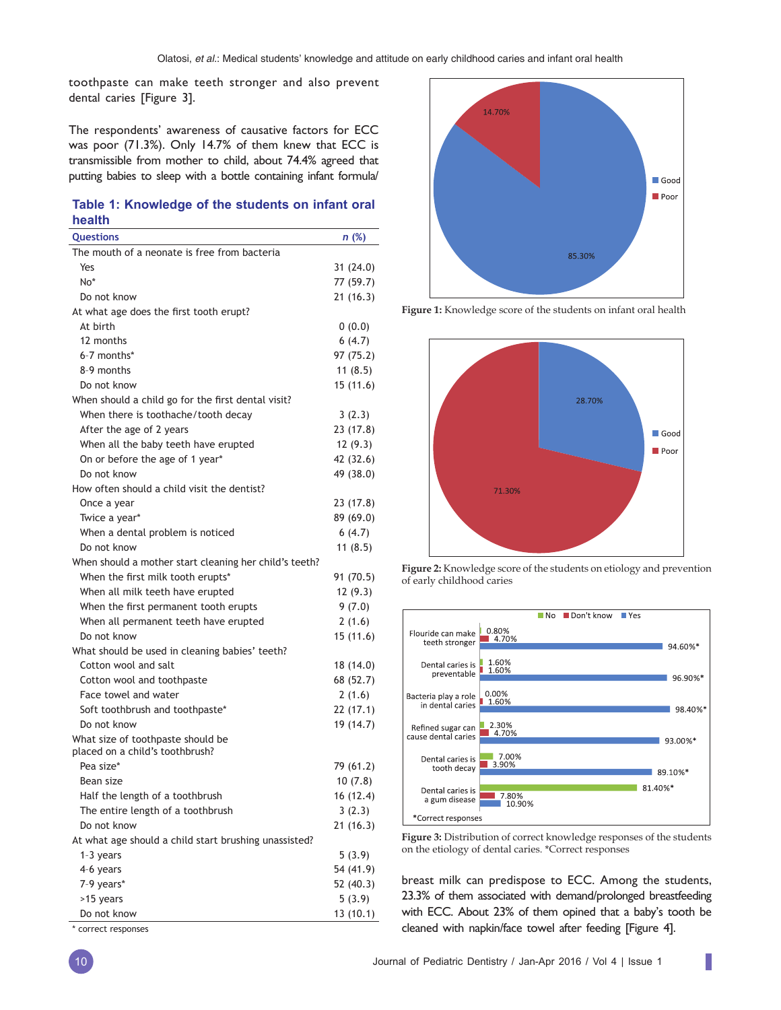toothpaste can make teeth stronger and also prevent dental caries [Figure 3].

The respondents' awareness of causative factors for ECC was poor (71.3%). Only 14.7% of them knew that ECC is transmissible from mother to child, about 74.4% agreed that putting babies to sleep with a bottle containing infant formula/

### **Table 1: Knowledge of the students on infant oral health**

| Questions                                                            | n (%)     |
|----------------------------------------------------------------------|-----------|
| The mouth of a neonate is free from bacteria                         |           |
| Yes                                                                  | 31(24.0)  |
| No*                                                                  | 77 (59.7) |
| Do not know                                                          | 21(16.3)  |
| At what age does the first tooth erupt?                              |           |
| At birth                                                             | 0(0.0)    |
| 12 months                                                            | 6(4.7)    |
| 6-7 months*                                                          | 97 (75.2) |
| 8-9 months                                                           | 11(8.5)   |
| Do not know                                                          | 15(11.6)  |
| When should a child go for the first dental visit?                   |           |
| When there is toothache/tooth decay                                  | 3(2.3)    |
| After the age of 2 years                                             | 23 (17.8) |
| When all the baby teeth have erupted                                 | 12(9.3)   |
| On or before the age of 1 year*                                      | 42 (32.6) |
| Do not know                                                          | 49 (38.0) |
| How often should a child visit the dentist?                          |           |
| Once a year                                                          | 23 (17.8) |
| Twice a year*                                                        | 89 (69.0) |
| When a dental problem is noticed                                     | 6(4.7)    |
| Do not know                                                          | 11(8.5)   |
| When should a mother start cleaning her child's teeth?               |           |
| When the first milk tooth erupts*                                    | 91 (70.5) |
| When all milk teeth have erupted                                     | 12(9.3)   |
| When the first permanent tooth erupts                                | 9(7.0)    |
| When all permanent teeth have erupted                                | 2(1.6)    |
| Do not know                                                          | 15(11.6)  |
| What should be used in cleaning babies' teeth?                       |           |
| Cotton wool and salt                                                 | 18 (14.0) |
| Cotton wool and toothpaste                                           | 68 (52.7) |
| Face towel and water                                                 | 2(1.6)    |
| Soft toothbrush and toothpaste*                                      | 22(17.1)  |
| Do not know                                                          | 19 (14.7) |
| What size of toothpaste should be<br>placed on a child's toothbrush? |           |
| Pea size*                                                            | 79 (61.2) |
| Bean size                                                            | 10(7.8)   |
| Half the length of a toothbrush                                      | 16 (12.4) |
|                                                                      |           |
| The entire length of a toothbrush<br>Do not know                     | 3(2.3)    |
| At what age should a child start brushing unassisted?                | 21(16.3)  |
| $1-3$ years                                                          | 5(3.9)    |
| 4-6 years                                                            | 54 (41.9) |
| 7-9 years*                                                           | 52 (40.3) |
| >15 years                                                            | 5(3.9)    |
| Do not know                                                          | 13(10.1)  |
|                                                                      |           |

\* correct responses



**Figure 1:** Knowledge score of the students on infant oral health







**Figure 3:** Distribution of correct knowledge responses of the students on the etiology of dental caries. \*Correct responses

breast milk can predispose to ECC. Among the students, 23.3% of them associated with demand/prolonged breastfeeding with ECC. About 23% of them opined that a baby's tooth be cleaned with napkin/face towel after feeding [Figure 4].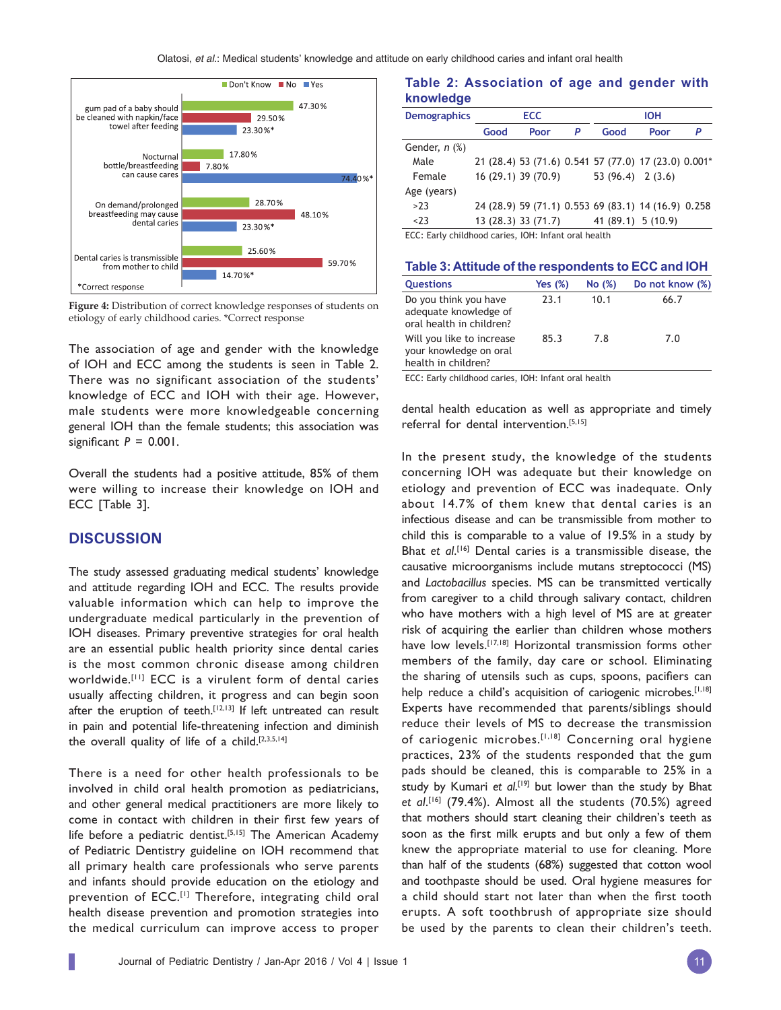Olatosi, *et al*.: Medical students' knowledge and attitude on early childhood caries and infant oral health



**Figure 4:** Distribution of correct knowledge responses of students on etiology of early childhood caries. \*Correct response

The association of age and gender with the knowledge of IOH and ECC among the students is seen in Table 2. There was no significant association of the students' knowledge of ECC and IOH with their age. However, male students were more knowledgeable concerning general IOH than the female students; this association was significant  $P = 0.001$ .

Overall the students had a positive attitude, 85% of them were willing to increase their knowledge on IOH and ECC [Table 3].

## **DISCUSSION**

The study assessed graduating medical students' knowledge and attitude regarding IOH and ECC. The results provide valuable information which can help to improve the undergraduate medical particularly in the prevention of IOH diseases. Primary preventive strategies for oral health are an essential public health priority since dental caries is the most common chronic disease among children worldwide.[11] ECC is a virulent form of dental caries usually affecting children, it progress and can begin soon after the eruption of teeth.<sup>[12,13]</sup> If left untreated can result in pain and potential life-threatening infection and diminish the overall quality of life of a child.[2,3,5,14]

There is a need for other health professionals to be involved in child oral health promotion as pediatricians, and other general medical practitioners are more likely to come in contact with children in their first few years of life before a pediatric dentist.<sup>[5,15]</sup> The American Academy of Pediatric Dentistry guideline on IOH recommend that all primary health care professionals who serve parents and infants should provide education on the etiology and prevention of ECC.<sup>[1]</sup> Therefore, integrating child oral health disease prevention and promotion strategies into the medical curriculum can improve access to proper

#### **Table 2: Association of age and gender with knowledge**

| <b>Demographics</b> | <b>ECC</b> |                     |   | <b>IOH</b>                                           |      |   |
|---------------------|------------|---------------------|---|------------------------------------------------------|------|---|
|                     | Good       | Poor                | P | Good                                                 | Poor | P |
| Gender, $n$ $%$ )   |            |                     |   |                                                      |      |   |
| Male                |            |                     |   | 21 (28.4) 53 (71.6) 0.541 57 (77.0) 17 (23.0) 0.001* |      |   |
| Female              |            | 16 (29.1) 39 (70.9) |   | $53(96.4)$ 2(3.6)                                    |      |   |
| Age (years)         |            |                     |   |                                                      |      |   |
| >23                 |            |                     |   | 24 (28.9) 59 (71.1) 0.553 69 (83.1) 14 (16.9) 0.258  |      |   |
| < 23                |            | 13 (28.3) 33 (71.7) |   | 41 (89.1) 5 (10.9)                                   |      |   |
|                     |            |                     |   |                                                      |      |   |

ECC: Early childhood caries, IOH: Infant oral health

| Table 3: Attitude of the respondents to ECC and IOH                        |         |        |                 |  |  |  |
|----------------------------------------------------------------------------|---------|--------|-----------------|--|--|--|
| <b>Questions</b>                                                           | Yes (%) | No (%) | Do not know (%) |  |  |  |
| Do you think you have<br>adequate knowledge of<br>oral health in children? | 23.1    | 10.1   | 66.7            |  |  |  |
| Will you like to increase<br>your knowledge on oral<br>health in children? | 85.3    | 7.8    | 7.0             |  |  |  |

ECC: Early childhood caries, IOH: Infant oral health

dental health education as well as appropriate and timely referral for dental intervention.<sup>[5,15]</sup>

In the present study, the knowledge of the students concerning IOH was adequate but their knowledge on etiology and prevention of ECC was inadequate. Only about 14.7% of them knew that dental caries is an infectious disease and can be transmissible from mother to child this is comparable to a value of 19.5% in a study by Bhat *et al*. [16] Dental caries is a transmissible disease, the causative microorganisms include mutans streptococci (MS) and *Lactobacillus* species. MS can be transmitted vertically from caregiver to a child through salivary contact, children who have mothers with a high level of MS are at greater risk of acquiring the earlier than children whose mothers have low levels.<sup>[17,18]</sup> Horizontal transmission forms other members of the family, day care or school. Eliminating the sharing of utensils such as cups, spoons, pacifiers can help reduce a child's acquisition of cariogenic microbes.<sup>[1,18]</sup> Experts have recommended that parents/siblings should reduce their levels of MS to decrease the transmission of cariogenic microbes.<sup>[1,18]</sup> Concerning oral hygiene practices, 23% of the students responded that the gum pads should be cleaned, this is comparable to 25% in a study by Kumari et al.<sup>[19]</sup> but lower than the study by Bhat *et al*. [16] (79.4%). Almost all the students (70.5%) agreed that mothers should start cleaning their children's teeth as soon as the first milk erupts and but only a few of them knew the appropriate material to use for cleaning. More than half of the students (68%) suggested that cotton wool and toothpaste should be used. Oral hygiene measures for a child should start not later than when the first tooth erupts. A soft toothbrush of appropriate size should be used by the parents to clean their children's teeth.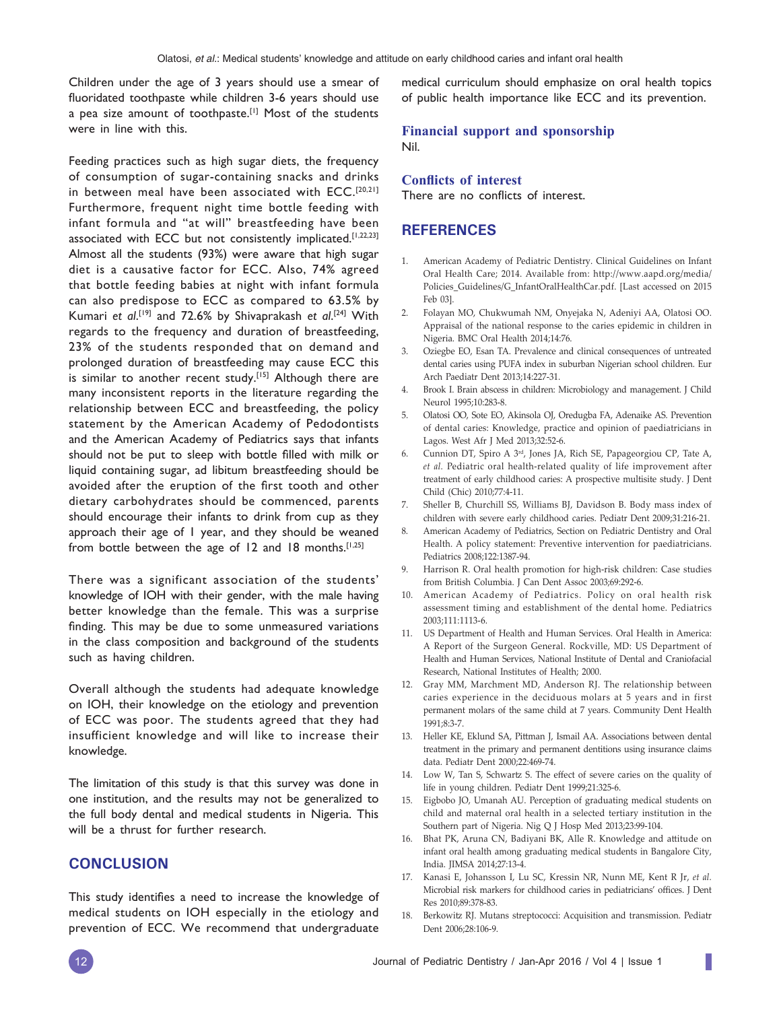Children under the age of 3 years should use a smear of fluoridated toothpaste while children 3-6 years should use a pea size amount of toothpaste.<sup>[1]</sup> Most of the students were in line with this.

Feeding practices such as high sugar diets, the frequency of consumption of sugar-containing snacks and drinks in between meal have been associated with ECC.[20,21] Furthermore, frequent night time bottle feeding with infant formula and "at will" breastfeeding have been associated with ECC but not consistently implicated.[1,22,23] Almost all the students (93%) were aware that high sugar diet is a causative factor for ECC. Also, 74% agreed that bottle feeding babies at night with infant formula can also predispose to ECC as compared to 63.5% by Kumari *et al*. [19] and 72.6% by Shivaprakash *et al*. [24] With regards to the frequency and duration of breastfeeding, 23% of the students responded that on demand and prolonged duration of breastfeeding may cause ECC this is similar to another recent study.[15] Although there are many inconsistent reports in the literature regarding the relationship between ECC and breastfeeding, the policy statement by the American Academy of Pedodontists and the American Academy of Pediatrics says that infants should not be put to sleep with bottle filled with milk or liquid containing sugar, ad libitum breastfeeding should be avoided after the eruption of the first tooth and other dietary carbohydrates should be commenced, parents should encourage their infants to drink from cup as they approach their age of 1 year, and they should be weaned from bottle between the age of 12 and 18 months.<sup>[1,25]</sup>

There was a significant association of the students' knowledge of IOH with their gender, with the male having better knowledge than the female. This was a surprise finding. This may be due to some unmeasured variations in the class composition and background of the students such as having children.

Overall although the students had adequate knowledge on IOH, their knowledge on the etiology and prevention of ECC was poor. The students agreed that they had insufficient knowledge and will like to increase their knowledge.

The limitation of this study is that this survey was done in one institution, and the results may not be generalized to the full body dental and medical students in Nigeria. This will be a thrust for further research.

## **CONCLUSION**

This study identifies a need to increase the knowledge of medical students on IOH especially in the etiology and prevention of ECC. We recommend that undergraduate medical curriculum should emphasize on oral health topics of public health importance like ECC and its prevention.

#### **Financial support and sponsorship** Nil.

#### **Conflicts of interest**

There are no conflicts of interest.

## **REFERENCES**

- 1. American Academy of Pediatric Dentistry. Clinical Guidelines on Infant Oral Health Care; 2014. Available from: http://www.aapd.org/media/ Policies\_Guidelines/G\_InfantOralHealthCar.pdf. [Last accessed on 2015 Feb 03].
- 2. Folayan MO, Chukwumah NM, Onyejaka N, Adeniyi AA, Olatosi OO. Appraisal of the national response to the caries epidemic in children in Nigeria. BMC Oral Health 2014;14:76.
- 3. Oziegbe EO, Esan TA. Prevalence and clinical consequences of untreated dental caries using PUFA index in suburban Nigerian school children. Eur Arch Paediatr Dent 2013;14:227-31.
- 4. Brook I. Brain abscess in children: Microbiology and management. J Child Neurol 1995;10:283-8.
- 5. Olatosi OO, Sote EO, Akinsola OJ, Oredugba FA, Adenaike AS. Prevention of dental caries: Knowledge, practice and opinion of paediatricians in Lagos. West Afr J Med 2013;32:52-6.
- 6. Cunnion DT, Spiro A 3rd, Jones JA, Rich SE, Papageorgiou CP, Tate A, *et al.* Pediatric oral health-related quality of life improvement after treatment of early childhood caries: A prospective multisite study. J Dent Child (Chic) 2010;77:4-11.
- 7. Sheller B, Churchill SS, Williams BJ, Davidson B. Body mass index of children with severe early childhood caries. Pediatr Dent 2009;31:216-21.
- 8. American Academy of Pediatrics, Section on Pediatric Dentistry and Oral Health. A policy statement: Preventive intervention for paediatricians. Pediatrics 2008;122:1387-94.
- Harrison R. Oral health promotion for high-risk children: Case studies from British Columbia. J Can Dent Assoc 2003;69:292-6.
- 10. American Academy of Pediatrics. Policy on oral health risk assessment timing and establishment of the dental home. Pediatrics 2003;111:1113-6.
- 11. US Department of Health and Human Services. Oral Health in America: A Report of the Surgeon General. Rockville, MD: US Department of Health and Human Services, National Institute of Dental and Craniofacial Research, National Institutes of Health; 2000.
- 12. Gray MM, Marchment MD, Anderson RJ. The relationship between caries experience in the deciduous molars at 5 years and in first permanent molars of the same child at 7 years. Community Dent Health 1991;8:3-7.
- 13. Heller KE, Eklund SA, Pittman J, Ismail AA. Associations between dental treatment in the primary and permanent dentitions using insurance claims data. Pediatr Dent 2000;22:469-74.
- 14. Low W, Tan S, Schwartz S. The effect of severe caries on the quality of life in young children. Pediatr Dent 1999;21:325-6.
- 15. Eigbobo JO, Umanah AU. Perception of graduating medical students on child and maternal oral health in a selected tertiary institution in the Southern part of Nigeria. Nig Q J Hosp Med 2013;23:99-104.
- 16. Bhat PK, Aruna CN, Badiyani BK, Alle R. Knowledge and attitude on infant oral health among graduating medical students in Bangalore City, India. JIMSA 2014;27:13-4.
- 17. Kanasi E, Johansson I, Lu SC, Kressin NR, Nunn ME, Kent R Jr, *et al.* Microbial risk markers for childhood caries in pediatricians' offices. J Dent Res 2010;89:378-83.
- 18. Berkowitz RJ. Mutans streptococci: Acquisition and transmission. Pediatr Dent 2006;28:106-9.